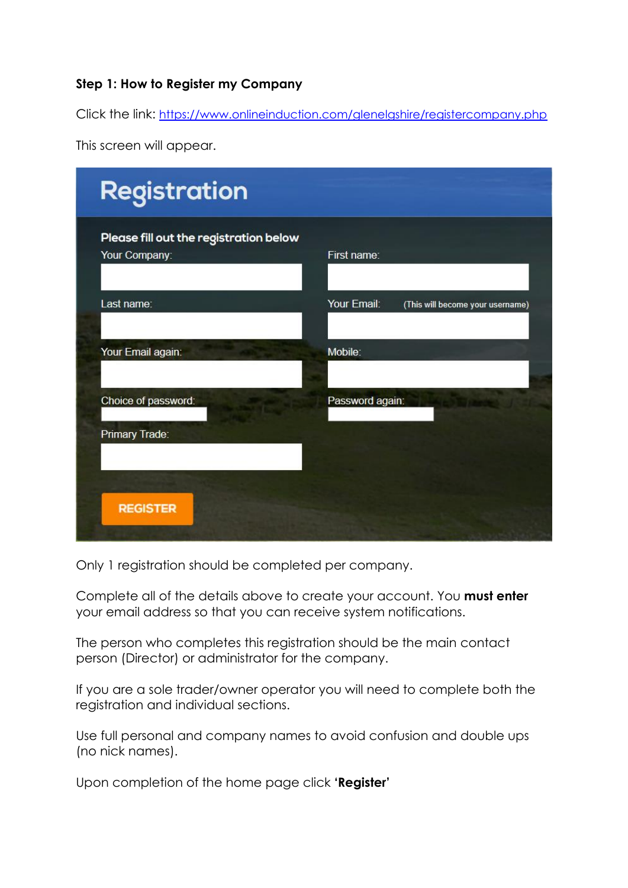## **Step 1: How to Register my Company**

Click the link: <https://www.onlineinduction.com/glenelgshire/registercompany.php>

| <b>Registration</b>                                     |                                                 |
|---------------------------------------------------------|-------------------------------------------------|
| Please fill out the registration below<br>Your Company: | First name:                                     |
| Last name:                                              | Your Email:<br>(This will become your username) |
| Your Email again:                                       | Mobile:                                         |
| Choice of password:                                     | Password again:                                 |
| Primary Trade:                                          |                                                 |
| <b>REGISTER</b>                                         |                                                 |

This screen will appear.

Only 1 registration should be completed per company.

Complete all of the details above to create your account. You **must enter** your email address so that you can receive system notifications.

The person who completes this registration should be the main contact person (Director) or administrator for the company.

If you are a sole trader/owner operator you will need to complete both the registration and individual sections.

Use full personal and company names to avoid confusion and double ups (no nick names).

Upon completion of the home page click **'Register'**